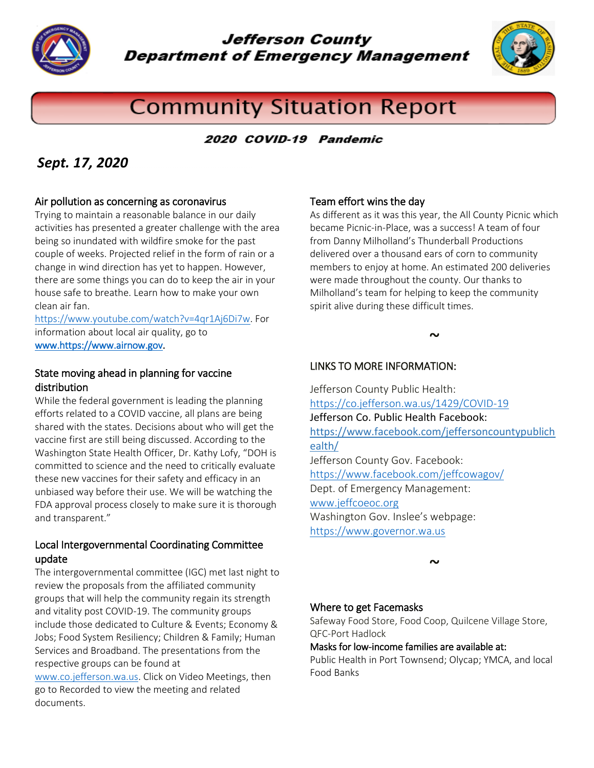

**Jefferson County Department of Emergency Management** 



# **Community Situation Report**

### 2020 COVID-19 Pandemic

# *Sept. 17, 2020*

#### Air pollution as concerning as coronavirus

Trying to maintain a reasonable balance in our daily activities has presented a greater challenge with the area being so inundated with wildfire smoke for the past couple of weeks. Projected relief in the form of rain or a change in wind direction has yet to happen. However, there are some things you can do to keep the air in your house safe to breathe. Learn how to make your own clean air fan.

[https://www.youtube.com/watch?v=4qr1Aj6Di7w.](https://www.youtube.com/watch?v=4qr1Aj6Di7w) For information about local air quality, go to [www.https://www.airnow.gov.](http://www.https/www.airnow.gov)

#### State moving ahead in planning for vaccine distribution

While the federal government is leading the planning efforts related to a COVID vaccine, all plans are being shared with the states. Decisions about who will get the vaccine first are still being discussed. According to the Washington State Health Officer, Dr. Kathy Lofy, "DOH is committed to science and the need to critically evaluate these new vaccines for their safety and efficacy in an unbiased way before their use. We will be watching the FDA approval process closely to make sure it is thorough and transparent."

#### Local Intergovernmental Coordinating Committee update

The intergovernmental committee (IGC) met last night to review the proposals from the affiliated community groups that will help the community regain its strength and vitality post COVID-19. The community groups include those dedicated to Culture & Events; Economy & Jobs; Food System Resiliency; Children & Family; Human Services and Broadband. The presentations from the respective groups can be found at

[www.co.jefferson.wa.us.](http://www.co.jefferson.wa.us/) Click on Video Meetings, then go to Recorded to view the meeting and related documents.

#### Team effort wins the day

As different as it was this year, the All County Picnic which became Picnic-in-Place, was a success! A team of four from Danny Milholland's Thunderball Productions delivered over a thousand ears of corn to community members to enjoy at home. An estimated 200 deliveries were made throughout the county. Our thanks to Milholland's team for helping to keep the community spirit alive during these difficult times.

#### $\sim$

### LINKS TO MORE INFORMATION:

Jefferson County Public Health: <https://co.jefferson.wa.us/1429/COVID-19> Jefferson Co. Public Health Facebook: [https://www.facebook.com/jeffersoncountypublich](https://www.facebook.com/jeffersoncountypublichealth/) [ealth/](https://www.facebook.com/jeffersoncountypublichealth/)  Jefferson County Gov. Facebook: <https://www.facebook.com/jeffcowagov/> Dept. of Emergency Management: www.jeffcoeoc.org Washington Gov. Inslee's webpage: [https://www.governor.wa.us](https://www.governor.wa.us/)

 $\sim$ 

#### Where to get Facemasks

Safeway Food Store, Food Coop, Quilcene Village Store, QFC-Port Hadlock

#### Masks for low-income families are available at:

Public Health in Port Townsend; Olycap; YMCA, and local Food Banks